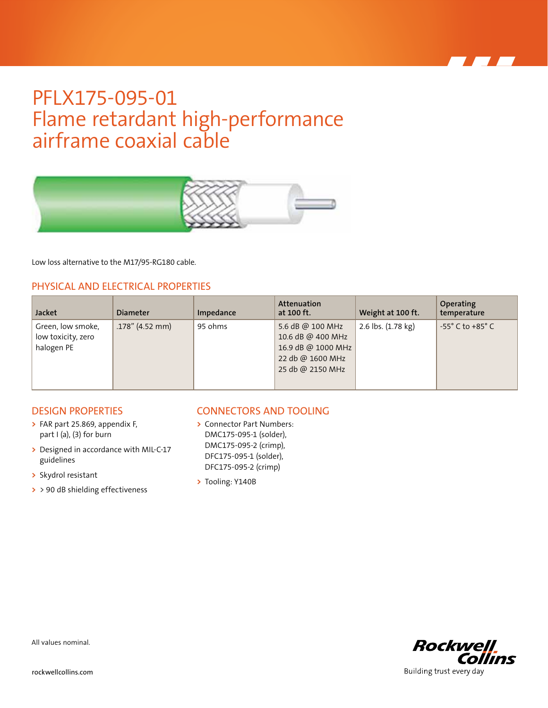## PFLX175-095-01 Flame retardant high-performance airframe coaxial cable



Low loss alternative to the M17/95-RG180 cable.

### PHYSICAL AND ELECTRICAL PROPERTIES

| <b>Jacket</b>                                         | <b>Diameter</b>    | Impedance | <b>Attenuation</b><br>at 100 ft.                                                                    | Weight at 100 ft.  | Operating<br>temperature           |
|-------------------------------------------------------|--------------------|-----------|-----------------------------------------------------------------------------------------------------|--------------------|------------------------------------|
| Green, low smoke,<br>low toxicity, zero<br>halogen PE | $.178''$ (4.52 mm) | 95 ohms   | 5.6 dB @ 100 MHz<br>10.6 dB @ 400 MHz<br>16.9 dB @ 1000 MHz<br>22 db @ 1600 MHz<br>25 db @ 2150 MHz | 2.6 lbs. (1.78 kg) | $-55^{\circ}$ C to $+85^{\circ}$ C |

#### DESIGN PROPERTIES

- **>** FAR part 25.869, appendix F, part I (a), (3) for burn
- **>** Designed in accordance with MIL-C-17 guidelines
- **>** Skydrol resistant
- **>** > 90 dB shielding effectiveness

### CONNECTORS AND TOOLING

- **>** Connector Part Numbers: DMC175-095-1 (solder), DMC175-095-2 (crimp), DFC175-095-1 (solder), DFC175-095-2 (crimp)
- **>** Tooling: Y140B



All values nominal.

rockwellcollins.com